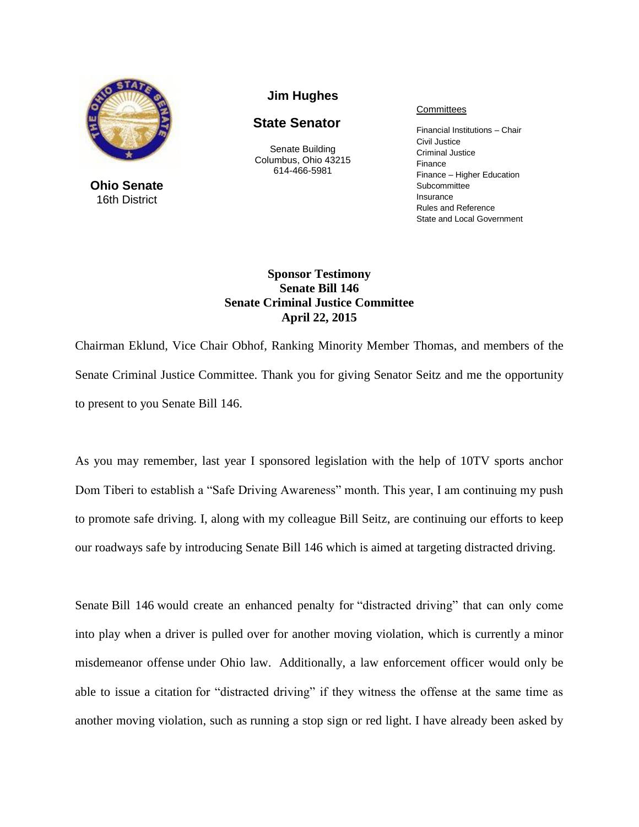

**Ohio Senate** 16th District

## **Jim Hughes**

## **State Senator**

Senate Building Columbus, Ohio 43215 614-466-5981

## **Committees**

Financial Institutions – Chair Civil Justice Criminal Justice Finance Finance – Higher Education Subcommittee Insurance Rules and Reference State and Local Government

## **Sponsor Testimony Senate Bill 146 Senate Criminal Justice Committee April 22, 2015**

Chairman Eklund, Vice Chair Obhof, Ranking Minority Member Thomas, and members of the Senate Criminal Justice Committee. Thank you for giving Senator Seitz and me the opportunity to present to you Senate Bill 146.

As you may remember, last year I sponsored legislation with the help of 10TV sports anchor Dom Tiberi to establish a "Safe Driving Awareness" month. This year, I am continuing my push to promote safe driving. I, along with my colleague Bill Seitz, are continuing our efforts to keep our roadways safe by introducing Senate Bill 146 which is aimed at targeting distracted driving.

Senate Bill 146 would create an enhanced penalty for "distracted driving" that can only come into play when a driver is pulled over for another moving violation, which is currently a minor misdemeanor offense under Ohio law. Additionally, a law enforcement officer would only be able to issue a citation for "distracted driving" if they witness the offense at the same time as another moving violation, such as running a stop sign or red light. I have already been asked by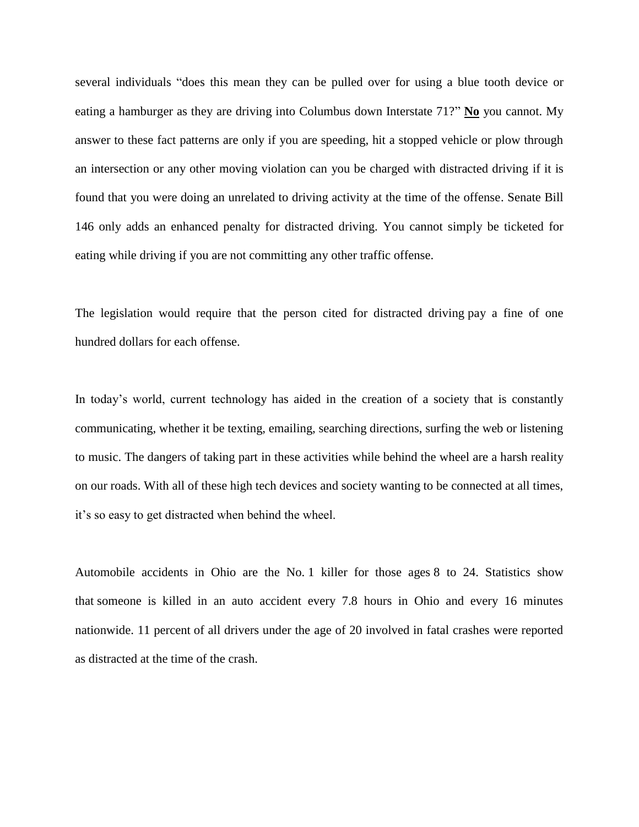several individuals "does this mean they can be pulled over for using a blue tooth device or eating a hamburger as they are driving into Columbus down Interstate 71?" **No** you cannot. My answer to these fact patterns are only if you are speeding, hit a stopped vehicle or plow through an intersection or any other moving violation can you be charged with distracted driving if it is found that you were doing an unrelated to driving activity at the time of the offense. Senate Bill 146 only adds an enhanced penalty for distracted driving. You cannot simply be ticketed for eating while driving if you are not committing any other traffic offense.

The legislation would require that the person cited for distracted driving pay a fine of one hundred dollars for each offense.

In today's world, current technology has aided in the creation of a society that is constantly communicating, whether it be texting, emailing, searching directions, surfing the web or listening to music. The dangers of taking part in these activities while behind the wheel are a harsh reality on our roads. With all of these high tech devices and society wanting to be connected at all times, it's so easy to get distracted when behind the wheel.

Automobile accidents in Ohio are the No. 1 killer for those ages 8 to 24. Statistics show that someone is killed in an auto accident every 7.8 hours in Ohio and every 16 minutes nationwide. 11 percent of all drivers under the age of 20 involved in fatal crashes were reported as distracted at the time of the crash.